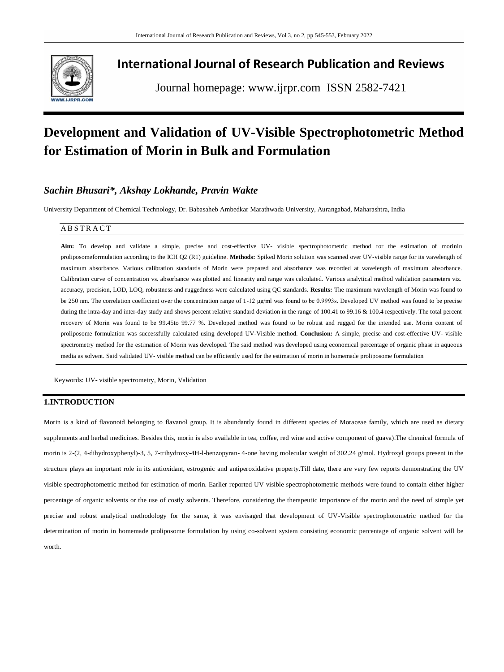

# **International Journal of Research Publication and Reviews**

Journal homepage: www.ijrpr.com ISSN 2582-7421

# **Development and Validation of UV-Visible Spectrophotometric Method for Estimation of Morin in Bulk and Formulation**

# *Sachin Bhusari\*, Akshay Lokhande, Pravin Wakte*

University Department of Chemical Technology, Dr. Babasaheb Ambedkar Marathwada University, Aurangabad, Maharashtra, India

# **ABSTRACT**

**Aim:** To develop and validate a simple, precise and cost-effective UV- visible spectrophotometric method for the estimation of morinin proliposomeformulation according to the ICH Q2 (R1) guideline. **Methods:** Spiked Morin solution was scanned over UV-visible range for its wavelength of maximum absorbance. Various calibration standards of Morin were prepared and absorbance was recorded at wavelength of maximum absorbance. Calibration curve of concentration vs. absorbance was plotted and linearity and range was calculated. Various analytical method validation parameters viz. accuracy, precision, LOD, LOQ, robustness and ruggedness were calculated using QC standards. **Results:** The maximum wavelength of Morin was found to be 250 nm. The correlation coefficient over the concentration range of 1-12 μg/ml was found to be 0.9993s. Developed UV method was found to be precise during the intra-day and inter-day study and shows percent relative standard deviation in the range of 100.41 to 99.16 & 100.4 respectively. The total percent recovery of Morin was found to be 99.45to 99.77 %. Developed method was found to be robust and rugged for the intended use. Morin content of proliposome formulation was successfully calculated using developed UV-Visible method. **Conclusion:** A simple, precise and cost-effective UV- visible spectrometry method for the estimation of Morin was developed. The said method was developed using economical percentage of organic phase in aqueous media as solvent. Said validated UV- visible method can be efficiently used for the estimation of morin in homemade proliposome formulation

Keywords: UV- visible spectrometry, Morin, Validation

# **1.INTRODUCTION**

Morin is a kind of flavonoid belonging to flavanol group. It is abundantly found in different species of Moraceae family, which are used as dietary supplements and herbal medicines. Besides this, morin is also available in tea, coffee, red wine and active component of guava). The chemical formula of morin is 2-(2, 4-dihydroxyphenyl)-3, 5, 7-trihydroxy-4H-l-benzopyran- 4-one having molecular weight of 302.24 g/mol. Hydroxyl groups present in the structure plays an important role in its antioxidant, estrogenic and antiperoxidative property.Till date, there are very few reports demonstrating the UV visible spectrophotometric method for estimation of morin. Earlier reported UV visible spectrophotometric methods were found to contain either higher percentage of organic solvents or the use of costly solvents. Therefore, considering the therapeutic importance of the morin and the need of simple yet precise and robust analytical methodology for the same, it was envisaged that development of UV-Visible spectrophotometric method for the determination of morin in homemade proliposome formulation by using co-solvent system consisting economic percentage of organic solvent will be worth.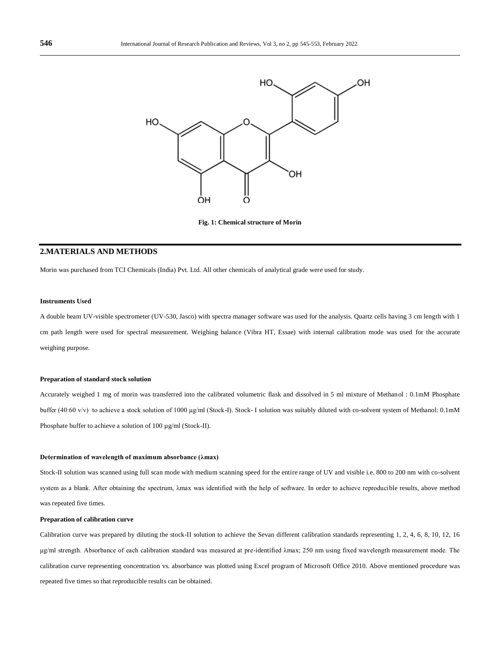

**Fig. 1: Chemical structure of Morin**

# **2.MATERIALS AND METHODS**

Morin was purchased from TCI Chemicals (India) Pvt. Ltd. All other chemicals of analytical grade were used for study.

#### **Instruments Used**

A double beam UV-visible spectrometer (UV-530, Jasco) with spectra manager software was used for the analysis. Quartz cells having 3 cm length with 1 cm path length were used for spectral measurement. Weighing balance (Vibra HT, Essae) with internal calibration mode was used for the accurate weighing purpose.

### **Preparation of standard stock solution**

Accurately weighed 1 mg of morin was transferred into the calibrated volumetric flask and dissolved in 5 ml mixture of Methanol : 0.1mM Phosphate buffer (40:60 v/v) to achieve a stock solution of 1000 μg/ml (Stock-I). Stock- I solution was suitably diluted with co-solvent system of Methanol: 0.1mM Phosphate buffer to achieve a solution of 100 ug/ml (Stock-II).

# **Determination of wavelength of maximum absorbance (λmax)**

Stock-II solution was scanned using full scan mode with medium scanning speed for the entire range of UV and visible i.e. 800 to 200 nm with co-solvent system as a blank. After obtaining the spectrum, λmax was identified with the help of software. In order to achieve reproducible results, above method was repeated five times.

## **Preparation of calibration curve**

Calibration curve was prepared by diluting the stock-II solution to achieve the Sevan different calibration standards representing 1, 2, 4, 6, 8, 10, 12, 16 μg/ml strength. Absorbance of each calibration standard was measured at pre-identified λmax; 250 nm using fixed wavelength measurement mode. The calibration curve representing concentration vs. absorbance was plotted using Excel program of Microsoft Office 2010. Above mentioned procedure was repeated five times so that reproducible results can be obtained.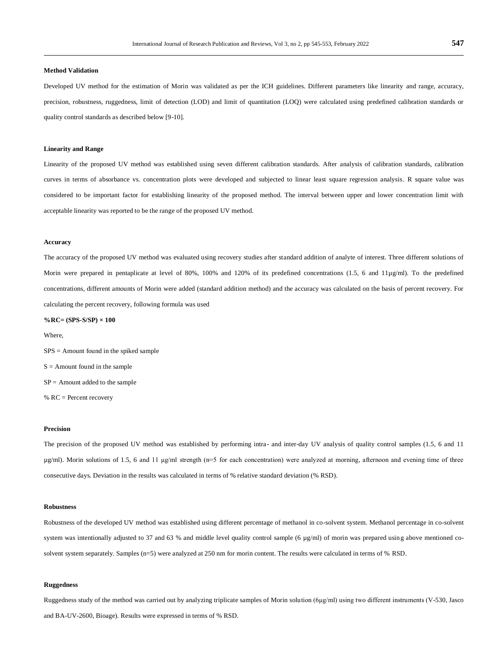## **Method Validation**

Developed UV method for the estimation of Morin was validated as per the ICH guidelines. Different parameters like linearity and range, accuracy, precision, robustness, ruggedness, limit of detection (LOD) and limit of quantitation (LOQ) were calculated using predefined calibration standards or quality control standards as described below [9-10].

# **Linearity and Range**

Linearity of the proposed UV method was established using seven different calibration standards. After analysis of calibration standards, calibration curves in terms of absorbance vs. concentration plots were developed and subjected to linear least square regression analysis. R square value was considered to be important factor for establishing linearity of the proposed method. The interval between upper and lower concentration limit with acceptable linearity was reported to be the range of the proposed UV method.

## **Accuracy**

The accuracy of the proposed UV method was evaluated using recovery studies after standard addition of analyte of interest. Three different solutions of Morin were prepared in pentaplicate at level of 80%, 100% and 120% of its predefined concentrations (1.5, 6 and 11µg/ml). To the predefined concentrations, different amounts of Morin were added (standard addition method) and the accuracy was calculated on the basis of percent recovery. For calculating the percent recovery, following formula was used

**%RC= (SPS-S/SP) × 100**

Where,

SPS = Amount found in the spiked sample  $S =$  Amount found in the sample  $SP =$  Amount added to the sample % RC = Percent recovery

#### **Precision**

The precision of the proposed UV method was established by performing intra- and inter-day UV analysis of quality control samples (1.5, 6 and 11 µg/ml). Morin solutions of 1.5, 6 and 11 μg/ml strength (n=5 for each concentration) were analyzed at morning, afternoon and evening time of three consecutive days. Deviation in the results was calculated in terms of % relative standard deviation (% RSD).

#### **Robustness**

Robustness of the developed UV method was established using different percentage of methanol in co-solvent system. Methanol percentage in co-solvent system was intentionally adjusted to 37 and 63 % and middle level quality control sample (6 µg/ml) of morin was prepared using above mentioned cosolvent system separately. Samples (n=5) were analyzed at 250 nm for morin content. The results were calculated in terms of % RSD.

# **Ruggedness**

Ruggedness study of the method was carried out by analyzing triplicate samples of Morin solution (6μg/ml) using two different instruments (V-530, Jasco and BA-UV-2600, Bioage). Results were expressed in terms of % RSD.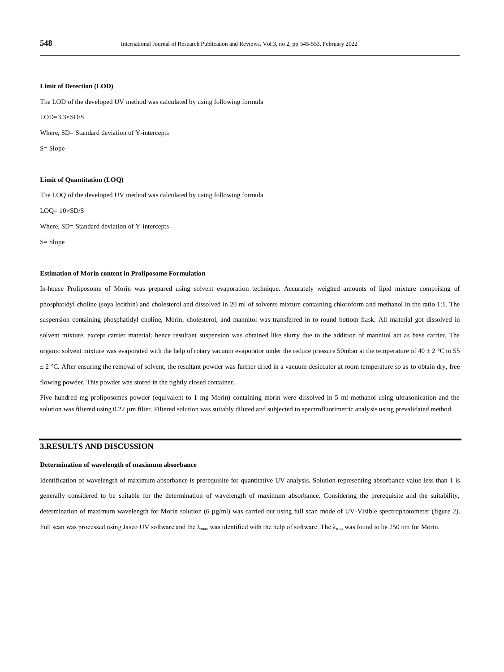## **Limit of Detection (LOD)**

The LOD of the developed UV method was calculated by using following formula

 $LOD=3.3\times SD/S$ 

Where, SD= Standard deviation of Y-intercepts

S= Slope

# **Limit of Quantitation (LOQ)**

The LOQ of the developed UV method was calculated by using following formula

 $LOQ = 10 \times SD/S$ 

Where, SD= Standard deviation of Y-intercepts

S= Slope

## **Estimation of Morin content in Proliposome Formulation**

In-house Proliposome of Morin was prepared using solvent evaporation technique. Accurately weighed amounts of lipid mixture comprising of phosphatidyl choline (soya lecithin) and cholesterol and dissolved in 20 ml of solvents mixture containing chloroform and methanol in the ratio 1:1. The suspension containing phosphatidyl choline, Morin, cholesterol, and mannitol was transferred in to round bottom flask. All material got dissolved in solvent mixture, except carrier material; hence resultant suspension was obtained like slurry due to the addition of mannitol act as base carrier. The organic solvent mixture was evaporated with the help of rotary vacuum evaporator under the reduce pressure 50mbar at the temperature of 40  $\pm$  2 °C to 55  $\pm 2$  °C. After ensuring the removal of solvent, the resultant powder was further dried in a vacuum desiccator at room temperature so as to obtain dry, free flowing powder. This powder was stored in the tightly closed container.

Five hundred mg proliposomes powder (equivalent to 1 mg Morin) containing morin were dissolved in 5 ml methanol using ultrasonication and the solution was filtered using 0.22  $\mu$ m filter. Filtered solution was suitably diluted and subjected to spectrofluorimetric analysis using prevalidated method.

# **3.RESULTS AND DISCUSSION**

#### **Determination of wavelength of maximum absorbance**

Identification of wavelength of maximum absorbance is prerequisite for quantitative UV analysis. Solution representing absorbance value less than 1 is generally considered to be suitable for the determination of wavelength of maximum absorbance. Considering the prerequisite and the suitability, determination of maximum wavelength for Morin solution (6 µg/ml) was carried out using full scan mode of UV-Visible spectrophotometer (figure 2). Full scan was processed using Jasco UV software and the  $\lambda_{\text{max}}$  was identified with the help of software. The  $\lambda_{\text{max}}$  was found to be 250 nm for Morin.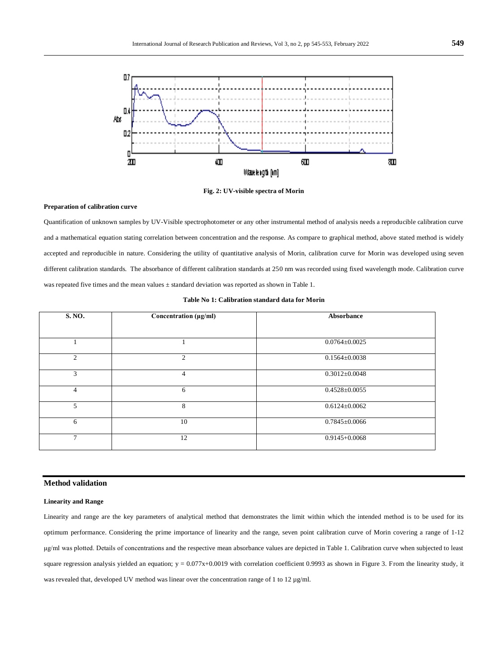

**Fig. 2: UV-visible spectra of Morin**

## **Preparation of calibration curve**

Quantification of unknown samples by UV-Visible spectrophotometer or any other instrumental method of analysis needs a reproducible calibration curve and a mathematical equation stating correlation between concentration and the response. As compare to graphical method, above stated method is widely accepted and reproducible in nature. Considering the utility of quantitative analysis of Morin, calibration curve for Morin was developed using seven different calibration standards. The absorbance of different calibration standards at 250 nm was recorded using fixed wavelength mode. Calibration curve was repeated five times and the mean values ± standard deviation was reported as shown in Table 1.

| S. NO.         | Concentration (µg/ml)       | Absorbance          |
|----------------|-----------------------------|---------------------|
|                |                             |                     |
|                |                             | $0.0764 \pm 0.0025$ |
| $\overline{2}$ | $\mathcal{D}_{\mathcal{L}}$ | $0.1564 \pm 0.0038$ |
| 3              | 4                           | $0.3012 \pm 0.0048$ |
| $\overline{4}$ | 6                           | $0.4528 \pm 0.0055$ |
| 5              | 8                           | $0.6124 \pm 0.0062$ |
| 6              | 10                          | $0.7845 \pm 0.0066$ |
| $\overline{7}$ | 12                          | $0.9145 + 0.0068$   |

# **Table No 1: Calibration standard data for Morin**

# **Method validation**

## **Linearity and Range**

Linearity and range are the key parameters of analytical method that demonstrates the limit within which the intended method is to be used for its optimum performance. Considering the prime importance of linearity and the range, seven point calibration curve of Morin covering a range of 1-12 μg/ml was plotted. Details of concentrations and the respective mean absorbance values are depicted in Table 1. Calibration curve when subjected to least square regression analysis yielded an equation;  $y = 0.077x+0.0019$  with correlation coefficient 0.9993 as shown in Figure 3. From the linearity study, it was revealed that, developed UV method was linear over the concentration range of 1 to 12 µg/ml.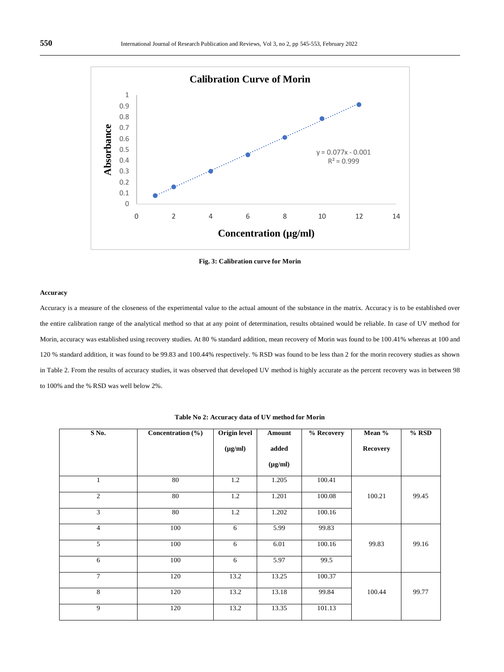

**Fig. 3: Calibration curve for Morin**

## **Accuracy**

Accuracy is a measure of the closeness of the experimental value to the actual amount of the substance in the matrix. Accuracy is to be established over the entire calibration range of the analytical method so that at any point of determination, results obtained would be reliable. In case of UV method for Morin, accuracy was established using recovery studies. At 80 % standard addition, mean recovery of Morin was found to be 100.41% whereas at 100 and 120 % standard addition, it was found to be 99.83 and 100.44% respectively. % RSD was found to be less than 2 for the morin recovery studies as shown in Table 2. From the results of accuracy studies, it was observed that developed UV method is highly accurate as the percent recovery was in between 98 to 100% and the % RSD was well below 2%.

| S No.          | Concentration $\overline{(\%)}$ | <b>Origin level</b> | Amount       | % Recovery | Mean %          | % RSD |
|----------------|---------------------------------|---------------------|--------------|------------|-----------------|-------|
|                |                                 | $(\mu g/ml)$        | added        |            | <b>Recovery</b> |       |
|                |                                 |                     | $(\mu g/ml)$ |            |                 |       |
| 1              | 80                              | 1.2                 | 1.205        | 100.41     |                 |       |
| $\overline{2}$ | 80                              | 1.2                 | 1.201        | 100.08     | 100.21          | 99.45 |
| 3              | 80                              | 1.2                 | 1.202        | 100.16     |                 |       |
| $\overline{4}$ | 100                             | 6                   | 5.99         | 99.83      |                 |       |
| 5              | 100                             | 6                   | 6.01         | 100.16     | 99.83           | 99.16 |
| 6              | 100                             | 6                   | 5.97         | 99.5       |                 |       |
| $\overline{7}$ | 120                             | 13.2                | 13.25        | 100.37     |                 |       |
| 8              | 120                             | 13.2                | 13.18        | 99.84      | 100.44          | 99.77 |
| 9              | 120                             | 13.2                | 13.35        | 101.13     |                 |       |

**Table No 2: Accuracy data of UV method for Morin**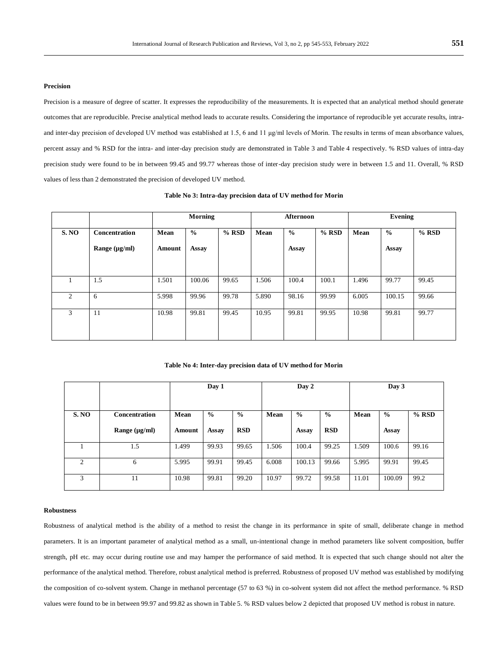# **Precision**

Precision is a measure of degree of scatter. It expresses the reproducibility of the measurements. It is expected that an analytical method should generate outcomes that are reproducible. Precise analytical method leads to accurate results. Considering the importance of reproducible yet accurate results, intraand inter-day precision of developed UV method was established at 1.5, 6 and 11 µg/ml levels of Morin. The results in terms of mean absorbance values, percent assay and % RSD for the intra- and inter-day precision study are demonstrated in Table 3 and Table 4 respectively. % RSD values of intra-day precision study were found to be in between 99.45 and 99.77 whereas those of inter-day precision study were in between 1.5 and 11. Overall, % RSD values of less than 2 demonstrated the precision of developed UV method.

|                |                    | <b>Morning</b> |               | Afternoon |       |               | Evening |       |               |         |
|----------------|--------------------|----------------|---------------|-----------|-------|---------------|---------|-------|---------------|---------|
| S. NO          | Concentration      | Mean           | $\frac{6}{6}$ | $%$ RSD   | Mean  | $\frac{0}{0}$ | $%$ RSD | Mean  | $\frac{0}{0}$ | $%$ RSD |
|                | Range $(\mu g/ml)$ | Amount         | Assay         |           |       | Assay         |         |       | Assay         |         |
|                |                    |                |               |           |       |               |         |       |               |         |
|                | 1.5                | 1.501          | 100.06        | 99.65     | 1.506 | 100.4         | 100.1   | 1.496 | 99.77         | 99.45   |
| $\overline{c}$ | 6                  | 5.998          | 99.96         | 99.78     | 5.890 | 98.16         | 99.99   | 6.005 | 100.15        | 99.66   |
| 3              | 11                 | 10.98          | 99.81         | 99.45     | 10.95 | 99.81         | 99.95   | 10.98 | 99.81         | 99.77   |

**Table No 3: Intra-day precision data of UV method for Morin**

**Table No 4: Inter-day precision data of UV method for Morin**

|              |                    | Day 1  |               | Day 2         |       |               | Day 3         |       |               |         |
|--------------|--------------------|--------|---------------|---------------|-------|---------------|---------------|-------|---------------|---------|
| <b>S. NO</b> | Concentration      | Mean   | $\frac{0}{0}$ | $\frac{0}{0}$ | Mean  | $\frac{0}{0}$ | $\frac{0}{0}$ | Mean  | $\frac{0}{0}$ | $%$ RSD |
|              | Range $(\mu g/ml)$ | Amount | <b>Assay</b>  | <b>RSD</b>    |       | Assay         | <b>RSD</b>    |       | Assay         |         |
|              | 1.5                | 1.499  | 99.93         | 99.65         | 1.506 | 100.4         | 99.25         | 1.509 | 100.6         | 99.16   |
| 2            | 6                  | 5.995  | 99.91         | 99.45         | 6.008 | 100.13        | 99.66         | 5.995 | 99.91         | 99.45   |
| 3            | 11                 | 10.98  | 99.81         | 99.20         | 10.97 | 99.72         | 99.58         | 11.01 | 100.09        | 99.2    |

#### **Robustness**

Robustness of analytical method is the ability of a method to resist the change in its performance in spite of small, deliberate change in method parameters. It is an important parameter of analytical method as a small, un-intentional change in method parameters like solvent composition, buffer strength, pH etc. may occur during routine use and may hamper the performance of said method. It is expected that such change should not alter the performance of the analytical method. Therefore, robust analytical method is preferred. Robustness of proposed UV method was established by modifying the composition of co-solvent system. Change in methanol percentage (57 to 63 %) in co-solvent system did not affect the method performance. % RSD values were found to be in between 99.97 and 99.82 as shown in Table 5. % RSD values below 2 depicted that proposed UV method is robust in nature.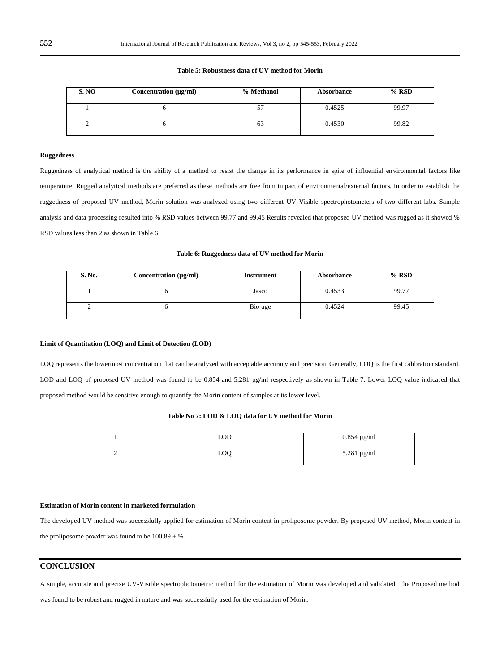**Table 5: Robustness data of UV method for Morin**

| S.NO | Concentration $(\mu g/ml)$ | % Methanol | Absorbance | $%$ RSD |
|------|----------------------------|------------|------------|---------|
|      |                            |            | 0.4525     | 99.97   |
|      |                            | 03         | 0.4530     | 99.82   |

# **Ruggedness**

Ruggedness of analytical method is the ability of a method to resist the change in its performance in spite of influential environmental factors like temperature. Rugged analytical methods are preferred as these methods are free from impact of environmental/external factors. In order to establish the ruggedness of proposed UV method, Morin solution was analyzed using two different UV-Visible spectrophotometers of two different labs. Sample analysis and data processing resulted into % RSD values between 99.77 and 99.45 Results revealed that proposed UV method was rugged as it showed % RSD values less than 2 as shown in Table 6.

#### **Table 6: Ruggedness data of UV method for Morin**

| S. No. | Concentration (µg/ml) | <b>Instrument</b> | Absorbance | $%$ RSD |
|--------|-----------------------|-------------------|------------|---------|
|        |                       | Jasco             | 0.4533     | 99.77   |
| ∸      |                       | Bio-age           | 0.4524     | 99.45   |

# **Limit of Quantitation (LOQ) and Limit of Detection (LOD)**

LOQ represents the lowermost concentration that can be analyzed with acceptable accuracy and precision. Generally, LOQ is the first calibration standard. LOD and LOQ of proposed UV method was found to be 0.854 and 5.281 µg/ml respectively as shown in Table 7. Lower LOQ value indicated that proposed method would be sensitive enough to quantify the Morin content of samples at its lower level.

# **Table No 7: LOD & LOQ data for UV method for Morin**

|   | LOD.       | $0.854 \mu g/ml$ |
|---|------------|------------------|
| ∸ | <b>LOQ</b> | $5.281 \mu g/ml$ |

#### **Estimation of Morin content in marketed formulation**

The developed UV method was successfully applied for estimation of Morin content in proliposome powder. By proposed UV method, Morin content in the proliposome powder was found to be  $100.89 \pm %$ .

# **CONCLUSION**

A simple, accurate and precise UV-Visible spectrophotometric method for the estimation of Morin was developed and validated. The Proposed method

was found to be robust and rugged in nature and was successfully used for the estimation of Morin.